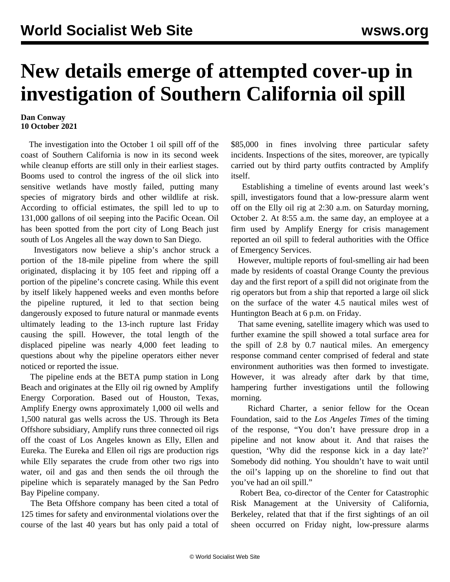## **New details emerge of attempted cover-up in investigation of Southern California oil spill**

## **Dan Conway 10 October 2021**

 The investigation into the October 1 oil spill off of the coast of Southern California is now in its second week while cleanup efforts are still only in their earliest stages. Booms used to control the ingress of the oil slick into sensitive wetlands have mostly failed, putting many species of migratory birds and other wildlife at risk. According to official estimates, the spill led to up to 131,000 gallons of oil seeping into the Pacific Ocean. Oil has been spotted from the port city of Long Beach just south of Los Angeles all the way down to San Diego.

 Investigators now believe a ship's anchor struck a portion of the 18-mile pipeline from where the spill originated, displacing it by 105 feet and ripping off a portion of the pipeline's concrete casing. While this event by itself likely happened weeks and even months before the pipeline ruptured, it led to that section being dangerously exposed to future natural or manmade events ultimately leading to the 13-inch rupture last Friday causing the spill. However, the total length of the displaced pipeline was nearly 4,000 feet leading to questions about why the pipeline operators either never noticed or reported the issue.

 The pipeline ends at the BETA pump station in Long Beach and originates at the Elly oil rig owned by Amplify Energy Corporation. Based out of Houston, Texas, Amplify Energy owns approximately 1,000 oil wells and 1,500 natural gas wells across the US. Through its Beta Offshore subsidiary, Amplify runs three connected oil rigs off the coast of Los Angeles known as Elly, Ellen and Eureka. The Eureka and Ellen oil rigs are production rigs while Elly separates the crude from other two rigs into water, oil and gas and then sends the oil through the pipeline which is separately managed by the San Pedro Bay Pipeline company.

 The Beta Offshore company has been cited a total of 125 times for safety and environmental violations over the course of the last 40 years but has only paid a total of \$85,000 in fines involving three particular safety incidents. Inspections of the sites, moreover, are typically carried out by third party outfits contracted by Amplify itself.

 Establishing a timeline of events around last week's spill, investigators found that a low-pressure alarm went off on the Elly oil rig at 2:30 a.m. on Saturday morning, October 2. At 8:55 a.m. the same day, an employee at a firm used by Amplify Energy for crisis management reported an oil spill to federal authorities with the Office of Emergency Services.

 However, multiple reports of foul-smelling air had been made by residents of coastal Orange County the previous day and the first report of a spill did not originate from the rig operators but from a ship that reported a large oil slick on the surface of the water 4.5 nautical miles west of Huntington Beach at 6 p.m. on Friday.

 That same evening, satellite imagery which was used to further examine the spill showed a total surface area for the spill of 2.8 by 0.7 nautical miles. An emergency response command center comprised of federal and state environment authorities was then formed to investigate. However, it was already after dark by that time, hampering further investigations until the following morning.

 Richard Charter, a senior fellow for the Ocean Foundation, said to the *Los Angeles Times* of the timing of the response, "You don't have pressure drop in a pipeline and not know about it. And that raises the question, 'Why did the response kick in a day late?' Somebody did nothing. You shouldn't have to wait until the oil's lapping up on the shoreline to find out that you've had an oil spill."

 Robert Bea, co-director of the Center for Catastrophic Risk Management at the University of California, Berkeley, related that that if the first sightings of an oil sheen occurred on Friday night, low-pressure alarms